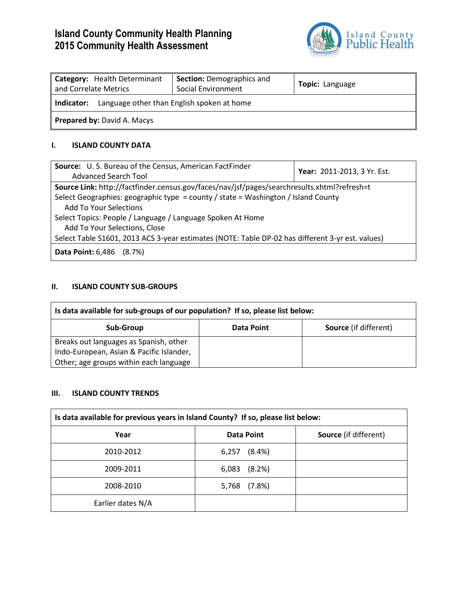# **Island County Community Health Planning 2015 Community Health Assessment**



| Category: Health Determinant<br>and Correlate Metrics    | <b>Section: Demographics and</b><br>Social Environment | Topic: Language |  |
|----------------------------------------------------------|--------------------------------------------------------|-----------------|--|
| Language other than English spoken at home<br>Indicator: |                                                        |                 |  |
| <b>Prepared by: David A. Macys</b>                       |                                                        |                 |  |

#### **I. ISLAND COUNTY DATA**

| Source: U.S. Bureau of the Census, American FactFinder                                           | Year: 2011-2013, 3 Yr. Est. |  |
|--------------------------------------------------------------------------------------------------|-----------------------------|--|
| Advanced Search Tool                                                                             |                             |  |
| Source Link: http://factfinder.census.gov/faces/nav/jsf/pages/searchresults.xhtml?refresh=t      |                             |  |
| Select Geographies: geographic type = county / state = Washington / Island County                |                             |  |
| <b>Add To Your Selections</b>                                                                    |                             |  |
| Select Topics: People / Language / Language Spoken At Home                                       |                             |  |
| Add To Your Selections, Close                                                                    |                             |  |
| Select Table S1601, 2013 ACS 3-year estimates (NOTE: Table DP-02 has different 3-yr est. values) |                             |  |
| <b>Data Point: 6,486 (8.7%)</b>                                                                  |                             |  |

## **II. ISLAND COUNTY SUB-GROUPS**

| Is data available for sub-groups of our population? If so, please list below: |            |                              |
|-------------------------------------------------------------------------------|------------|------------------------------|
| Sub-Group                                                                     | Data Point | <b>Source</b> (if different) |
| Breaks out languages as Spanish, other                                        |            |                              |
| Indo-European, Asian & Pacific Islander,                                      |            |                              |
| Other; age groups within each language                                        |            |                              |

#### **III. ISLAND COUNTY TRENDS**

| Is data available for previous years in Island County? If so, please list below: |                    |                              |
|----------------------------------------------------------------------------------|--------------------|------------------------------|
| Year                                                                             | Data Point         | <b>Source</b> (if different) |
| 2010-2012                                                                        | $(8.4\%)$<br>6,257 |                              |
| 2009-2011                                                                        | (8.2%)<br>6,083    |                              |
| 2008-2010                                                                        | (7.8%)<br>5,768    |                              |
| Earlier dates N/A                                                                |                    |                              |